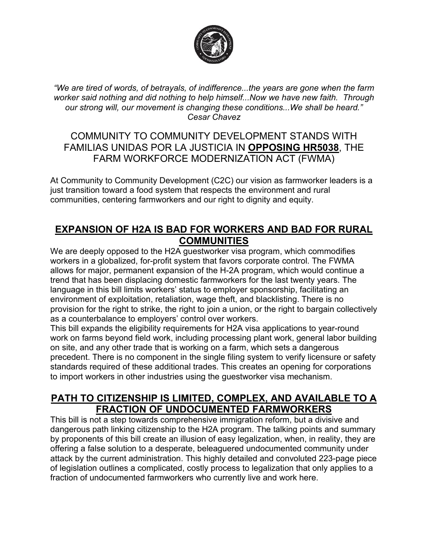

*"We are tired of words, of betrayals, of indifference...the years are gone when the farm worker said nothing and did nothing to help himself...Now we have new faith. Through our strong will, our movement is changing these conditions...We shall be heard." Cesar Chavez*

### COMMUNITY TO COMMUNITY DEVELOPMENT STANDS WITH FAMILIAS UNIDAS POR LA JUSTICIA IN **OPPOSING HR5038**, THE FARM WORKFORCE MODERNIZATION ACT (FWMA)

At Community to Community Development (C2C) our vision as farmworker leaders is a just transition toward a food system that respects the environment and rural communities, centering farmworkers and our right to dignity and equity.

### **EXPANSION OF H2A IS BAD FOR WORKERS AND BAD FOR RURAL COMMUNITIES**

We are deeply opposed to the H2A guestworker visa program, which commodifies workers in a globalized, for-profit system that favors corporate control. The FWMA allows for major, permanent expansion of the H-2A program, which would continue a trend that has been displacing domestic farmworkers for the last twenty years. The language in this bill limits workers' status to employer sponsorship, facilitating an environment of exploitation, retaliation, wage theft, and blacklisting. There is no provision for the right to strike, the right to join a union, or the right to bargain collectively as a counterbalance to employers' control over workers.

This bill expands the eligibility requirements for H2A visa applications to year-round work on farms beyond field work, including processing plant work, general labor building on site, and any other trade that is working on a farm, which sets a dangerous precedent. There is no component in the single filing system to verify licensure or safety standards required of these additional trades. This creates an opening for corporations to import workers in other industries using the guestworker visa mechanism.

#### **PATH TO CITIZENSHIP IS LIMITED, COMPLEX, AND AVAILABLE TO A FRACTION OF UNDOCUMENTED FARMWORKERS**

This bill is not a step towards comprehensive immigration reform, but a divisive and dangerous path linking citizenship to the H2A program. The talking points and summary by proponents of this bill create an illusion of easy legalization, when, in reality, they are offering a false solution to a desperate, beleaguered undocumented community under attack by the current administration. This highly detailed and convoluted 223-page piece of legislation outlines a complicated, costly process to legalization that only applies to a fraction of undocumented farmworkers who currently live and work here.